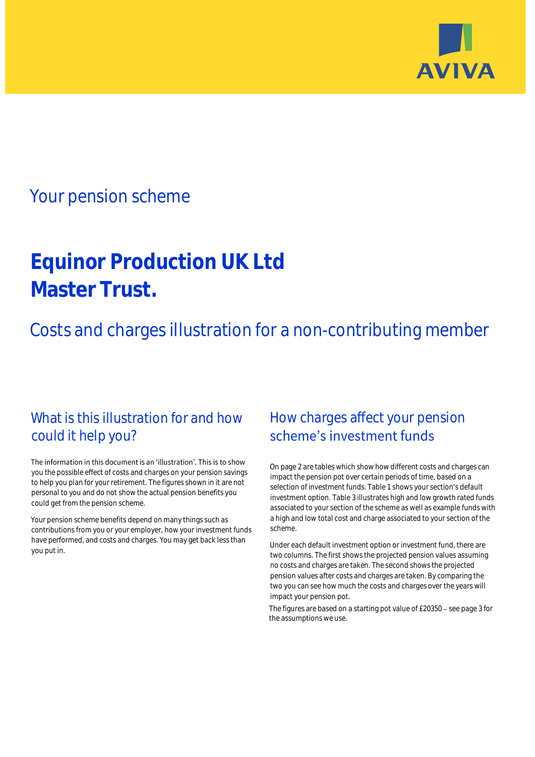

## Your pension scheme

# **Equinor Production UK Ltd Master Trust.**

Costs and charges illustration for a non-contributing member

### What is this illustration for and how could it help you?

#### The information in this document is an 'illustration'. This is to show you the possible effect of costs and charges on your pension savings to help you plan for your retirement. The figures shown in it are not personal to you and do not show the actual pension benefits you could get from the pension scheme.

Your pension scheme benefits depend on many things such as contributions from you or your employer, how your investment funds have performed, and costs and charges. You may get back less than you put in.

### How charges affect your pension scheme's investment funds

On page 2 are tables which show how different costs and charges can impact the pension pot over certain periods of time, based on a selection of investment funds. Table 1 shows your section's default investment option. Table 3 illustrates high and low growth rated funds associated to your section of the scheme as well as example funds with a high and low total cost and charge associated to your section of the scheme.

Under each default investment option or investment fund, there are two columns. The first shows the projected pension values assuming no costs and charges are taken. The second shows the projected pension values after costs and charges are taken. By comparing the two you can see how much the costs and charges over the years will impact your pension pot.

The figures are based on a starting pot value of  $£20350 -$  see page 3 for the assumptions we use.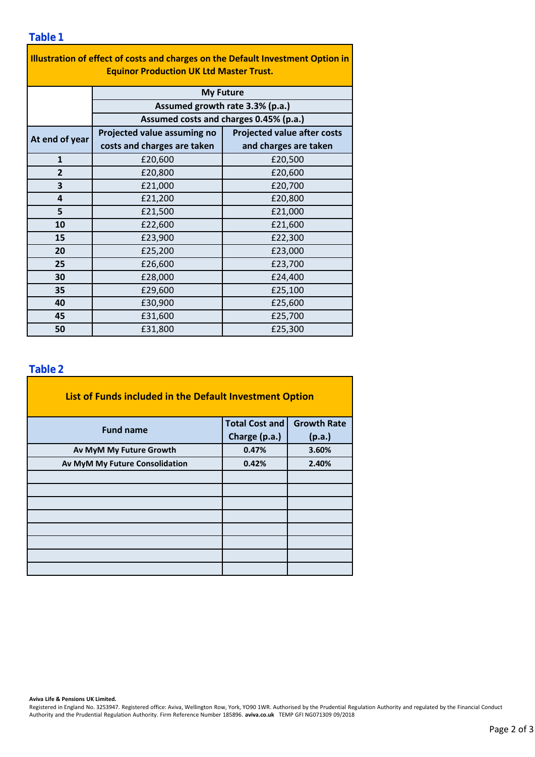| Illustration of effect of costs and charges on the Default Investment Option in |                                                                           |                                    |  |  |  |  |  |  |  |
|---------------------------------------------------------------------------------|---------------------------------------------------------------------------|------------------------------------|--|--|--|--|--|--|--|
| <b>Equinor Production UK Ltd Master Trust.</b>                                  |                                                                           |                                    |  |  |  |  |  |  |  |
|                                                                                 | <b>My Future</b>                                                          |                                    |  |  |  |  |  |  |  |
|                                                                                 | Assumed growth rate 3.3% (p.a.)<br>Assumed costs and charges 0.45% (p.a.) |                                    |  |  |  |  |  |  |  |
|                                                                                 |                                                                           |                                    |  |  |  |  |  |  |  |
| At end of year                                                                  | Projected value assuming no                                               | <b>Projected value after costs</b> |  |  |  |  |  |  |  |
|                                                                                 | costs and charges are taken                                               | and charges are taken              |  |  |  |  |  |  |  |
| $\mathbf{1}$                                                                    | £20,600                                                                   | £20,500                            |  |  |  |  |  |  |  |
| $\overline{2}$                                                                  | £20,800                                                                   | £20,600                            |  |  |  |  |  |  |  |
| 3                                                                               | £21,000                                                                   | £20,700                            |  |  |  |  |  |  |  |
| 4                                                                               | £21,200                                                                   | £20,800                            |  |  |  |  |  |  |  |
| 5                                                                               | £21,500                                                                   | £21,000                            |  |  |  |  |  |  |  |
| 10                                                                              | £22,600                                                                   | £21,600                            |  |  |  |  |  |  |  |
| 15                                                                              | £23,900                                                                   | £22,300                            |  |  |  |  |  |  |  |
| 20                                                                              | £25,200                                                                   | £23,000                            |  |  |  |  |  |  |  |
| 25                                                                              | £26,600                                                                   | £23,700                            |  |  |  |  |  |  |  |
| 30                                                                              | £28,000                                                                   | £24,400                            |  |  |  |  |  |  |  |
| 35                                                                              | £29,600                                                                   | £25,100                            |  |  |  |  |  |  |  |
| 40                                                                              | £30,900                                                                   | £25,600                            |  |  |  |  |  |  |  |
| 45                                                                              | £31,600                                                                   | £25,700                            |  |  |  |  |  |  |  |
| 50                                                                              | £31,800                                                                   | £25,300                            |  |  |  |  |  |  |  |

٦

### **Table 2**

| List of Funds included in the Default Investment Option |                       |                    |  |  |  |  |  |  |
|---------------------------------------------------------|-----------------------|--------------------|--|--|--|--|--|--|
| <b>Fund name</b>                                        | <b>Total Cost and</b> | <b>Growth Rate</b> |  |  |  |  |  |  |
|                                                         | Charge (p.a.)         | (p.a.)             |  |  |  |  |  |  |
| Av MyM My Future Growth                                 | 0.47%                 | 3.60%              |  |  |  |  |  |  |
| Av MyM My Future Consolidation                          | 0.42%                 | 2.40%              |  |  |  |  |  |  |
|                                                         |                       |                    |  |  |  |  |  |  |
|                                                         |                       |                    |  |  |  |  |  |  |
|                                                         |                       |                    |  |  |  |  |  |  |
|                                                         |                       |                    |  |  |  |  |  |  |
|                                                         |                       |                    |  |  |  |  |  |  |
|                                                         |                       |                    |  |  |  |  |  |  |
|                                                         |                       |                    |  |  |  |  |  |  |
|                                                         |                       |                    |  |  |  |  |  |  |

#### **Aviva Life & Pensions UK Limited.**

Registered in England No. 3253947. Registered office: Aviva, Wellington Row, York, YO90 1WR. Authorised by the Prudential Regulation Authority and regulated by the Financial Conduct Authority and the Prudential Regulation Authority. Firm Reference Number 185896. **aviva.co.uk** TEMP GFI NG071309 09/2018